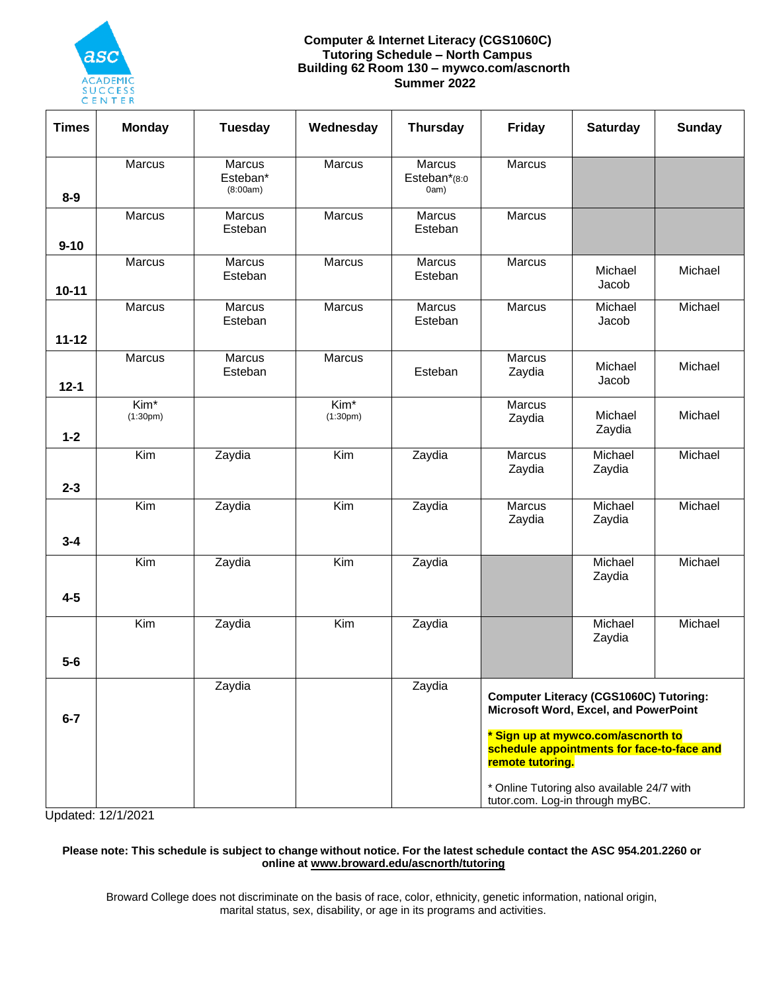

#### **Computer & Internet Literacy (CGS1060C) Tutoring Schedule – North Campus Building 62 Room 130 – mywco.com/ascnorth Summer 2022**

| <b>Times</b> | <b>Monday</b>      | <b>Tuesday</b>                 | Wednesday                    | <b>Thursday</b>                       | Friday                                                                                                                                                                                                                                       | <b>Saturday</b>   | <b>Sunday</b> |
|--------------|--------------------|--------------------------------|------------------------------|---------------------------------------|----------------------------------------------------------------------------------------------------------------------------------------------------------------------------------------------------------------------------------------------|-------------------|---------------|
| $8-9$        | Marcus             | Marcus<br>Esteban*<br>(8:00am) | <b>Marcus</b>                | <b>Marcus</b><br>Esteban*(8:0<br>0am) | <b>Marcus</b>                                                                                                                                                                                                                                |                   |               |
| $9 - 10$     | Marcus             | Marcus<br>Esteban              | Marcus                       | Marcus<br>Esteban                     | Marcus                                                                                                                                                                                                                                       |                   |               |
| $10 - 11$    | Marcus             | Marcus<br>Esteban              | Marcus                       | Marcus<br>Esteban                     | Marcus                                                                                                                                                                                                                                       | Michael<br>Jacob  | Michael       |
| $11 - 12$    | Marcus             | Marcus<br>Esteban              | Marcus                       | Marcus<br>Esteban                     | Marcus                                                                                                                                                                                                                                       | Michael<br>Jacob  | Michael       |
| $12 - 1$     | Marcus             | Marcus<br>Esteban              | Marcus                       | Esteban                               | Marcus<br>Zaydia                                                                                                                                                                                                                             | Michael<br>Jacob  | Michael       |
| $1 - 2$      | $Kim*$<br>(1:30pm) |                                | Kim <sup>*</sup><br>(1:30pm) |                                       | Marcus<br>Zaydia                                                                                                                                                                                                                             | Michael<br>Zaydia | Michael       |
| $2 - 3$      | $\overline{Kim}$   | Zaydia                         | $\overline{Kim}$             | Zaydia                                | Marcus<br>Zaydia                                                                                                                                                                                                                             | Michael<br>Zaydia | Michael       |
| $3 - 4$      | Kim                | Zaydia                         | Kim                          | Zaydia                                | <b>Marcus</b><br>Zaydia                                                                                                                                                                                                                      | Michael<br>Zaydia | Michael       |
| $4 - 5$      | $\overline{Kim}$   | Zaydia                         | $\overline{Kim}$             | Zaydia                                |                                                                                                                                                                                                                                              | Michael<br>Zaydia | Michael       |
|              | Kim                | Zaydia                         | Kim                          | Zaydia                                |                                                                                                                                                                                                                                              | Michael<br>Zaydia | Michael       |
| $5-6$        |                    |                                |                              |                                       |                                                                                                                                                                                                                                              |                   |               |
| $6 - 7$      |                    | Zaydia                         |                              | Zaydia                                | <b>Computer Literacy (CGS1060C) Tutoring:</b><br>Microsoft Word, Excel, and PowerPoint<br>* Sign up at mywco.com/ascnorth to<br>schedule appointments for face-to-face and<br>remote tutoring.<br>* Online Tutoring also available 24/7 with |                   |               |
|              |                    |                                |                              |                                       | tutor.com. Log-in through myBC.                                                                                                                                                                                                              |                   |               |

Updated: 12/1/2021

#### Please note: This schedule is subject to change without notice. For the latest schedule contact the ASC 954.201.2260 or **online at www.broward.edu/ascnorth/tutoring**

Broward College does not discriminate on the basis of race, color, ethnicity, genetic information, national origin, marital status, sex, disability, or age in its programs and activities.